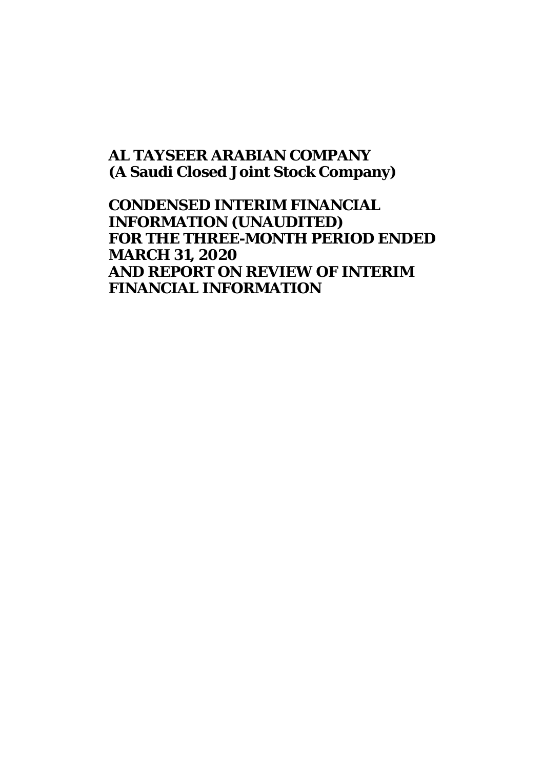# **AL TAYSEER ARABIAN COMPANY (A Saudi Closed Joint Stock Company)**

**CONDENSED INTERIM FINANCIAL INFORMATION (UNAUDITED) FOR THE THREE-MONTH PERIOD ENDED MARCH 31, 2020 AND REPORT ON REVIEW OF INTERIM FINANCIAL INFORMATION**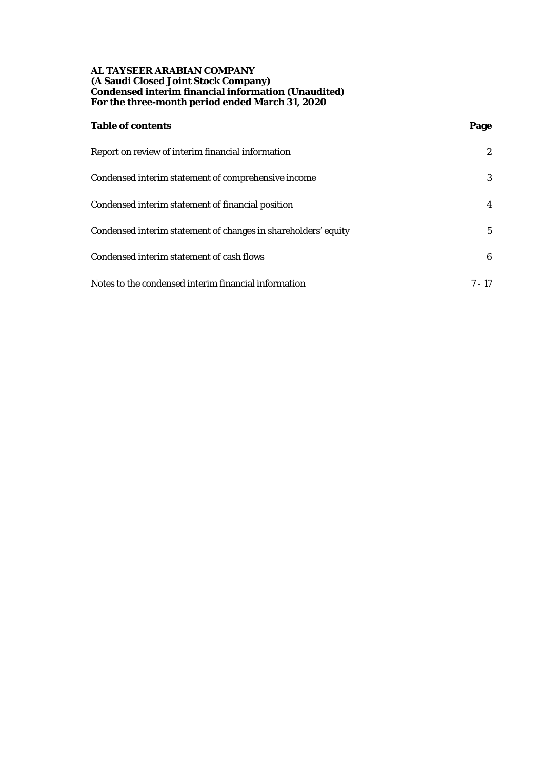## **AL TAYSEER ARABIAN COMPANY (A Saudi Closed Joint Stock Company) Condensed interim financial information (Unaudited) For the three-month period ended March 31, 2020**

| <b>Table of contents</b>                                       | Page         |
|----------------------------------------------------------------|--------------|
| Report on review of interim financial information              | $\mathbf{2}$ |
| Condensed interim statement of comprehensive income            | 3            |
| Condensed interim statement of financial position              | 4            |
| Condensed interim statement of changes in shareholders' equity | $5^{\circ}$  |
| Condensed interim statement of cash flows                      | 6            |
| Notes to the condensed interim financial information           | $7 - 17$     |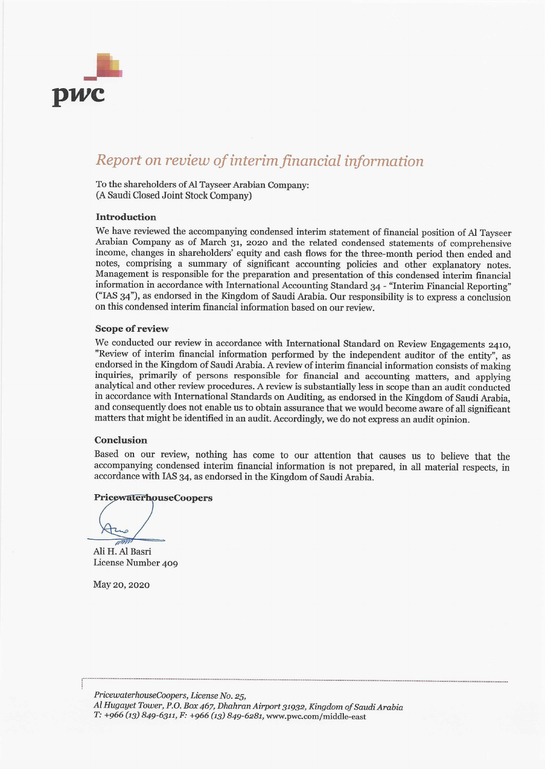

# Report on review of interim financial information

To the shareholders of Al Tayseer Arabian Company: (A Saudi Closed Joint Stock Company)

#### Introduction

We have reviewed the accompanying condensed interim statement of financial position of Al Tayseer Arabian Company as of March 31, 2020 and the related condensed statements of comprehensive income, changes in shareholders' equity and cash flows for the three-month period then ended and notes, comprising a summary of significant accounting policies and other explanatory notes. Management is responsible for the preparation and presentation of this condensed interim financial information in accordance with International Accounting Standard 34 - "Interim Financial Reporting" ("IAS 34"), as endorsed in the Kingdom of Saudi Arabia. Our responsibility is to express a conclusion on this condensed interim financial information based on our review.

#### **Scope of review**

We conducted our review in accordance with International Standard on Review Engagements 2410, "Review of interim financial information performed by the independent auditor of the entity", as endorsed in the Kingdom of Saudi Arabia. A review of interim financial information consists of making inquiries, primarily of persons responsible for financial and accounting matters, and applying analytical and other review procedures. A review is substantially less in scope than an audit conducted in accordance with International Standards on Auditing, as endorsed in the Kingdom of Saudi Arabia, and consequently does not enable us to obtain assurance that we would become aware of all significant matters that might be identified in an audit. Accordingly, we do not express an audit opinion.

## Conclusion

Based on our review, nothing has come to our attention that causes us to believe that the accompanying condensed interim financial information is not prepared, in all material respects, in accordance with IAS 34, as endorsed in the Kingdom of Saudi Arabia.

#### **PricewaterhouseCoopers**

Ali H. Al Basri License Number 409

May 20, 2020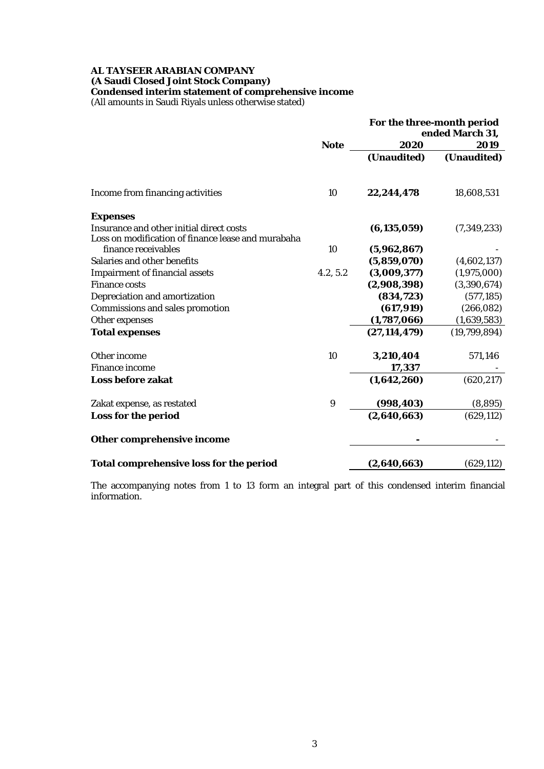## **AL TAYSEER ARABIAN COMPANY (A Saudi Closed Joint Stock Company)**

**Condensed interim statement of comprehensive income**

(All amounts in Saudi Riyals unless otherwise stated)

|                                                    |                  | For the three-month period<br>ended March 31, |              |  |
|----------------------------------------------------|------------------|-----------------------------------------------|--------------|--|
|                                                    | <b>Note</b>      | 2020                                          | 2019         |  |
|                                                    |                  | (Unaudited)                                   | (Unaudited)  |  |
| Income from financing activities                   | 10               | 22,244,478                                    | 18,608,531   |  |
| <b>Expenses</b>                                    |                  |                                               |              |  |
| Insurance and other initial direct costs           |                  | (6, 135, 059)                                 | (7,349,233)  |  |
| Loss on modification of finance lease and murabaha |                  |                                               |              |  |
| finance receivables                                | 10               | (5,962,867)                                   |              |  |
| Salaries and other benefits                        |                  | (5,859,070)                                   | (4,602,137)  |  |
| <b>Impairment of financial assets</b>              | 4.2, 5.2         | (3,009,377)                                   | (1,975,000)  |  |
| <b>Finance costs</b>                               |                  | (2,908,398)                                   | (3,390,674)  |  |
| Depreciation and amortization                      |                  | (834, 723)                                    | (577, 185)   |  |
| <b>Commissions and sales promotion</b>             |                  | (617, 919)                                    | (266, 082)   |  |
| Other expenses                                     |                  | (1,787,066)                                   | (1,639,583)  |  |
| <b>Total expenses</b>                              |                  | (27, 114, 479)                                | (19,799,894) |  |
| Other income                                       | 10               | 3,210,404                                     | 571,146      |  |
| <b>Finance income</b>                              |                  | 17,337                                        |              |  |
| <b>Loss before zakat</b>                           |                  | (1,642,260)                                   | (620, 217)   |  |
| Zakat expense, as restated                         | $\boldsymbol{9}$ | (998, 403)                                    | (8,895)      |  |
| Loss for the period                                |                  | (2,640,663)                                   | (629, 112)   |  |
| Other comprehensive income                         |                  |                                               |              |  |
| <b>Total comprehensive loss for the period</b>     |                  | (2,640,663)                                   | (629, 112)   |  |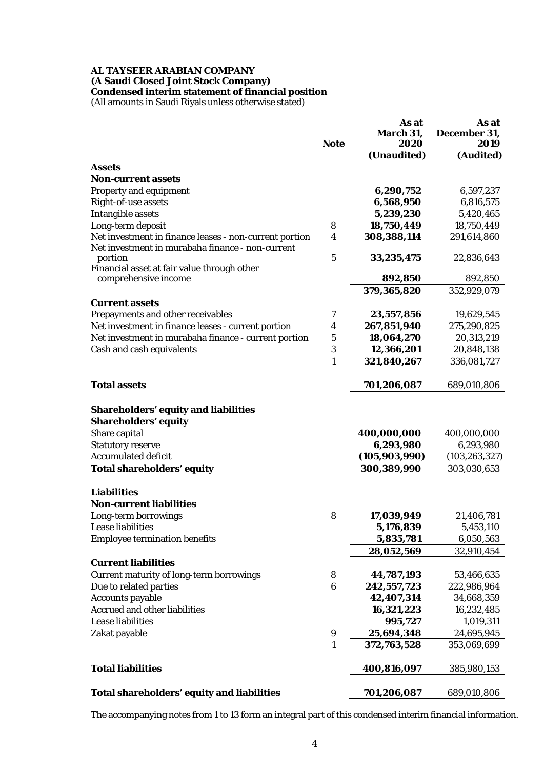## **AL TAYSEER ARABIAN COMPANY (A Saudi Closed Joint Stock Company) Condensed interim statement of financial position**

(All amounts in Saudi Riyals unless otherwise stated)

|                                                                                                            | <b>Note</b>      | As at<br>March 31,<br>2020 | As at<br>December 31,<br>2019 |
|------------------------------------------------------------------------------------------------------------|------------------|----------------------------|-------------------------------|
|                                                                                                            |                  | (Unaudited)                | (Audited)                     |
| <b>Assets</b>                                                                                              |                  |                            |                               |
| <b>Non-current assets</b>                                                                                  |                  |                            |                               |
| <b>Property and equipment</b>                                                                              |                  | 6,290,752                  | 6,597,237                     |
| Right-of-use assets                                                                                        |                  | 6,568,950<br>5,239,230     | 6,816,575                     |
| <b>Intangible assets</b>                                                                                   | 8                | 18,750,449                 | 5,420,465                     |
| Long-term deposit                                                                                          | 4                |                            | 18,750,449                    |
| Net investment in finance leases - non-current portion<br>Net investment in murabaha finance - non-current |                  | 308,388,114                | 291,614,860                   |
| portion                                                                                                    | 5                | 33,235,475                 | 22,836,643                    |
| Financial asset at fair value through other                                                                |                  |                            |                               |
| comprehensive income                                                                                       |                  | 892,850                    | 892,850                       |
|                                                                                                            |                  | 379,365,820                | 352,929,079                   |
| <b>Current assets</b>                                                                                      |                  |                            |                               |
| Prepayments and other receivables                                                                          | 7                | 23,557,856                 | 19,629,545                    |
| Net investment in finance leases - current portion                                                         | $\boldsymbol{4}$ | 267,851,940                | 275,290,825                   |
| Net investment in murabaha finance - current portion                                                       | $\mathbf 5$      | 18,064,270                 | 20,313,219                    |
| Cash and cash equivalents                                                                                  | $\boldsymbol{3}$ | 12,366,201                 | 20,848,138                    |
|                                                                                                            | 1                | 321,840,267                | 336,081,727                   |
|                                                                                                            |                  |                            |                               |
| <b>Total assets</b>                                                                                        |                  | 701,206,087                | 689,010,806                   |
| <b>Shareholders' equity and liabilities</b><br><b>Shareholders' equity</b>                                 |                  |                            |                               |
| Share capital                                                                                              |                  | 400,000,000                | 400,000,000                   |
| <b>Statutory reserve</b>                                                                                   |                  | 6,293,980                  | 6,293,980                     |
| <b>Accumulated deficit</b>                                                                                 |                  | (105, 903, 990)            | (103, 263, 327)               |
| <b>Total shareholders' equity</b>                                                                          |                  | 300,389,990                | 303,030,653                   |
| <b>Liabilities</b>                                                                                         |                  |                            |                               |
| <b>Non-current liabilities</b>                                                                             |                  |                            |                               |
| Long-term borrowings                                                                                       | 8                | 17,039,949                 | 21,406,781                    |
| Lease liabilities                                                                                          |                  | 5,176,839                  | 5,453,110                     |
| <b>Employee termination benefits</b>                                                                       |                  | 5,835,781                  | 6,050,563                     |
|                                                                                                            |                  | 28,052,569                 | 32,910,454                    |
| <b>Current liabilities</b>                                                                                 |                  |                            |                               |
| <b>Current maturity of long-term borrowings</b>                                                            | 8                | 44,787,193                 | 53,466,635                    |
| Due to related parties                                                                                     | $\boldsymbol{6}$ | 242,557,723                | 222,986,964                   |
| <b>Accounts payable</b>                                                                                    |                  | 42,407,314                 | 34,668,359                    |
| <b>Accrued and other liabilities</b>                                                                       |                  | 16,321,223                 | 16,232,485                    |
| <b>Lease liabilities</b>                                                                                   |                  | 995,727                    | 1,019,311                     |
| Zakat payable                                                                                              | $\boldsymbol{9}$ | 25,694,348                 | 24,695,945                    |
|                                                                                                            | $\mathbf{1}$     | 372,763,528                | 353,069,699                   |
| <b>Total liabilities</b>                                                                                   |                  | 400,816,097                | 385,980,153                   |
| Total shareholders' equity and liabilities                                                                 |                  | 701,206,087                | 689,010,806                   |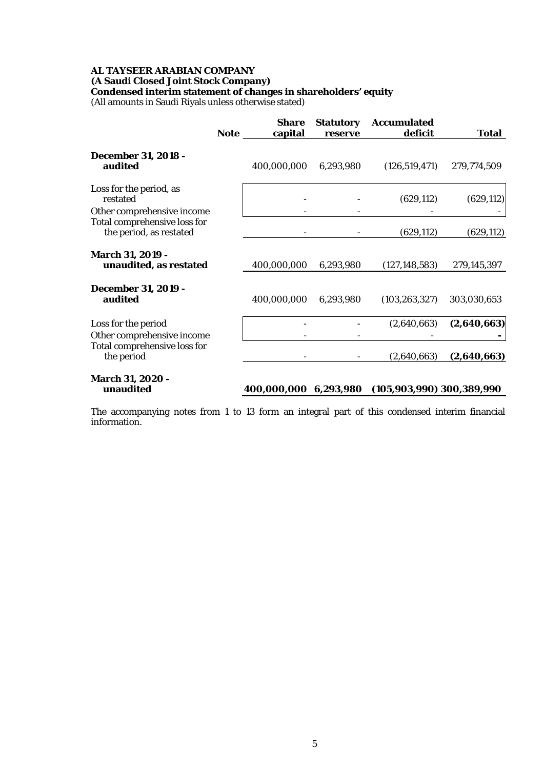# **AL TAYSEER ARABIAN COMPANY (A Saudi Closed Joint Stock Company) Condensed interim statement of changes in shareholders' equity**

(All amounts in Saudi Riyals unless otherwise stated)

|                                                         | <b>Note</b> | <b>Share</b><br>capital | <b>Statutory</b><br>reserve | <b>Accumulated</b><br>deficit   | <b>Total</b> |
|---------------------------------------------------------|-------------|-------------------------|-----------------------------|---------------------------------|--------------|
| <b>December 31, 2018 -</b><br>audited                   |             | 400,000,000             | 6,293,980                   | (126, 519, 471)                 | 279,774,509  |
| Loss for the period, as<br>restated                     |             |                         |                             | (629, 112)                      | (629, 112)   |
| Other comprehensive income                              |             |                         |                             |                                 |              |
| Total comprehensive loss for<br>the period, as restated |             |                         |                             | (629, 112)                      | (629, 112)   |
| March 31, 2019 -<br>unaudited, as restated              |             | 400,000,000             | 6,293,980                   | (127, 148, 583)                 | 279,145,397  |
| <b>December 31, 2019 -</b><br>audited                   |             | 400,000,000             | 6,293,980                   | (103, 263, 327)                 | 303,030,653  |
| Loss for the period                                     |             |                         |                             | (2,640,663)                     | (2,640,663)  |
| Other comprehensive income                              |             |                         |                             |                                 |              |
| Total comprehensive loss for<br>the period              |             |                         |                             | (2,640,663)                     | (2,640,663)  |
| <b>March 31, 2020 -</b><br>unaudited                    |             | 400,000,000             | 6,293,980                   | $(105, 903, 990)$ 300, 389, 990 |              |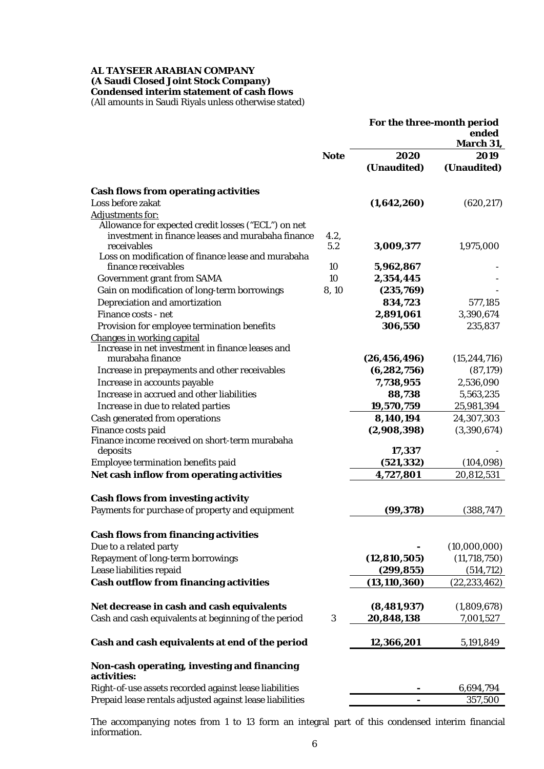# **AL TAYSEER ARABIAN COMPANY (A Saudi Closed Joint Stock Company) Condensed interim statement of cash flows**

(All amounts in Saudi Riyals unless otherwise stated)

|                                                                           |             | For the three-month period | ended<br>March 31,       |
|---------------------------------------------------------------------------|-------------|----------------------------|--------------------------|
|                                                                           | <b>Note</b> | 2020                       | 2019                     |
|                                                                           |             | (Unaudited)                | (Unaudited)              |
| <b>Cash flows from operating activities</b>                               |             |                            |                          |
| Loss before zakat                                                         |             | (1,642,260)                | (620, 217)               |
| <b>Adjustments for:</b>                                                   |             |                            |                          |
| Allowance for expected credit losses ("ECL") on net                       |             |                            |                          |
| investment in finance leases and murabaha finance                         | 4.2,        |                            |                          |
| receivables                                                               | 5.2         | 3,009,377                  | 1,975,000                |
| Loss on modification of finance lease and murabaha<br>finance receivables | 10          | 5,962,867                  |                          |
| <b>Government grant from SAMA</b>                                         | 10          | 2,354,445                  |                          |
| Gain on modification of long-term borrowings                              | 8,10        | (235,769)                  |                          |
| Depreciation and amortization                                             |             | 834,723                    | 577,185                  |
| Finance costs - net                                                       |             | 2,891,061                  | 3,390,674                |
| Provision for employee termination benefits                               |             | 306,550                    | 235,837                  |
| <b>Changes in working capital</b>                                         |             |                            |                          |
| Increase in net investment in finance leases and                          |             |                            |                          |
| murabaha finance                                                          |             | (26, 456, 496)             | (15, 244, 716)           |
| Increase in prepayments and other receivables                             |             | (6, 282, 756)              | (87, 179)                |
| Increase in accounts payable                                              |             | 7,738,955                  | 2,536,090                |
| Increase in accrued and other liabilities                                 |             | 88,738                     | 5,563,235                |
| Increase in due to related parties                                        |             | 19,570,759                 | 25,981,394               |
| Cash generated from operations                                            |             | 8,140,194                  | 24,307,303               |
| Finance costs paid                                                        |             | (2,908,398)                | (3,390,674)              |
| Finance income received on short-term murabaha                            |             |                            |                          |
| deposits                                                                  |             | 17,337                     |                          |
| Employee termination benefits paid                                        |             | (521, 332)                 | (104, 098)               |
| Net cash inflow from operating activities                                 |             | 4,727,801                  | 20,812,531               |
| <b>Cash flows from investing activity</b>                                 |             |                            |                          |
| Payments for purchase of property and equipment                           |             | (99, 378)                  | (388, 747)               |
|                                                                           |             |                            |                          |
| <b>Cash flows from financing activities</b>                               |             |                            |                          |
| Due to a related party                                                    |             |                            | (10,000,000)             |
| <b>Repayment of long-term borrowings</b>                                  |             | (12, 810, 505)             | (11, 718, 750)           |
| Lease liabilities repaid                                                  |             | (299, 855)                 | (514, 712)               |
| <b>Cash outflow from financing activities</b>                             |             | (13, 110, 360)             | (22, 233, 462)           |
| Net decrease in cash and cash equivalents                                 |             | (8, 481, 937)              |                          |
| Cash and cash equivalents at beginning of the period                      | 3           | 20,848,138                 | (1,809,678)<br>7,001,527 |
|                                                                           |             |                            |                          |
| Cash and cash equivalents at end of the period                            |             | 12,366,201                 | 5,191,849                |
| Non-cash operating, investing and financing                               |             |                            |                          |
| activities:                                                               |             |                            |                          |
| Right-of-use assets recorded against lease liabilities                    |             |                            | 6,694,794                |
| Prepaid lease rentals adjusted against lease liabilities                  |             |                            | 357,500                  |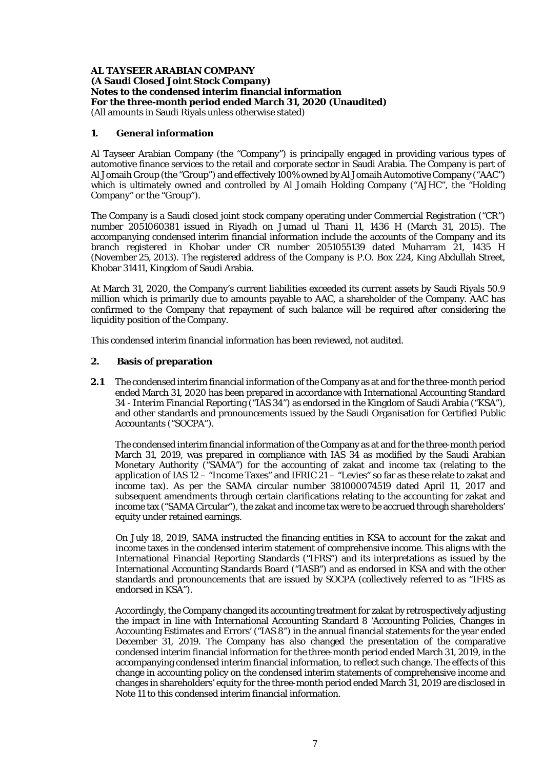## **1. General information**

Al Tayseer Arabian Company (the "Company") is principally engaged in providing various types of automotive finance services to the retail and corporate sector in Saudi Arabia. The Company is part of Al Jomaih Group (the "Group") and effectively 100% owned by Al Jomaih Automotive Company ("AAC") which is ultimately owned and controlled by Al Jomaih Holding Company ("AJHC", the "Holding Company" or the "Group").

The Company is a Saudi closed joint stock company operating under Commercial Registration ("CR") number 2051060381 issued in Riyadh on Jumad ul Thani 11, 1436 H (March 31, 2015). The accompanying condensed interim financial information include the accounts of the Company and its branch registered in Khobar under CR number 2051055139 dated Muharram 21, 1435 H (November 25, 2013). The registered address of the Company is P.O. Box 224, King Abdullah Street, Khobar 31411, Kingdom of Saudi Arabia.

At March 31, 2020, the Company's current liabilities exceeded its current assets by Saudi Riyals 50.9 million which is primarily due to amounts payable to AAC, a shareholder of the Company. AAC has confirmed to the Company that repayment of such balance will be required after considering the liquidity position of the Company.

This condensed interim financial information has been reviewed, not audited.

## **2. Basis of preparation**

**2.1** The condensed interim financial information of the Company as at and for the three-month period ended March 31, 2020 has been prepared in accordance with International Accounting Standard 34 - Interim Financial Reporting ("IAS 34") as endorsed in the Kingdom of Saudi Arabia ("KSA"), and other standards and pronouncements issued by the Saudi Organisation for Certified Public Accountants ("SOCPA").

The condensed interim financial information of the Company as at and for the three-month period March 31, 2019, was prepared in compliance with IAS  $3\overline{4}$  as modified by the Saudi Arabian Monetary Authority ("SAMA") for the accounting of zakat and income tax (relating to the application of IAS  $12 -$  "Income Taxes" and IFRIC  $21 -$  "Levies" so far as these relate to zakat and income tax). As per the SAMA circular number 381000074519 dated April 11, 2017 and subsequent amendments through certain clarifications relating to the accounting for zakat and income tax ("SAMA Circular"), the zakat and income tax were to be accrued through shareholders' equity under retained earnings.

On July 18, 2019, SAMA instructed the financing entities in KSA to account for the zakat and income taxes in the condensed interim statement of comprehensive income. This aligns with the International Financial Reporting Standards ("IFRS") and its interpretations as issued by the International Accounting Standards Board ("IASB") and as endorsed in KSA and with the other standards and pronouncements that are issued by SOCPA (collectively referred to as "IFRS as endorsed in KSA").

Accordingly, the Company changed its accounting treatment for zakat by retrospectively adjusting the impact in line with International Accounting Standard 8 'Accounting Policies, Changes in Accounting Estimates and Errors' ("IAS 8") in the annual financial statements for the year ended December 31, 2019. The Company has also changed the presentation of the comparative condensed interim financial information for the three-month period ended March 31, 2019, in the accompanying condensed interim financial information, to reflect such change. The effects of this change in accounting policy on the condensed interim statements of comprehensive income and changes in shareholders' equity for the three-month period ended March 31, 2019 are disclosed in Note 11 to this condensed interim financial information.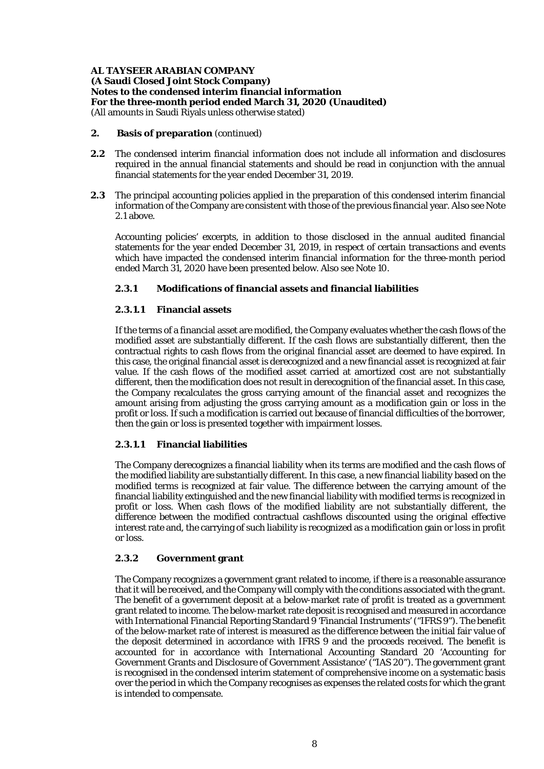#### **2. Basis of preparation** (continued)

- **2.2** The condensed interim financial information does not include all information and disclosures required in the annual financial statements and should be read in conjunction with the annual financial statements for the year ended December 31, 2019.
- **2.3** The principal accounting policies applied in the preparation of this condensed interim financial information of the Company are consistent with those of the previous financial year. Also see Note 2.1 above.

Accounting policies' excerpts, in addition to those disclosed in the annual audited financial statements for the year ended December 31, 2019, in respect of certain transactions and events which have impacted the condensed interim financial information for the three-month period ended March 31, 2020 have been presented below. Also see Note 10.

## **2.3.1 Modifications of financial assets and financial liabilities**

## **2.3.1.1 Financial assets**

If the terms of a financial asset are modified, the Company evaluates whether the cash flows of the modified asset are substantially different. If the cash flows are substantially different, then the contractual rights to cash flows from the original financial asset are deemed to have expired. In this case, the original financial asset is derecognized and a new financial asset is recognized at fair value. If the cash flows of the modified asset carried at amortized cost are not substantially different, then the modification does not result in derecognition of the financial asset. In this case, the Company recalculates the gross carrying amount of the financial asset and recognizes the amount arising from adjusting the gross carrying amount as a modification gain or loss in the profit or loss. If such a modification is carried out because of financial difficulties of the borrower, then the gain or loss is presented together with impairment losses.

# **2.3.1.1 Financial liabilities**

The Company derecognizes a financial liability when its terms are modified and the cash flows of the modified liability are substantially different. In this case, a new financial liability based on the modified terms is recognized at fair value. The difference between the carrying amount of the financial liability extinguished and the new financial liability with modified terms is recognized in profit or loss. When cash flows of the modified liability are not substantially different, the difference between the modified contractual cashflows discounted using the original effective interest rate and, the carrying of such liability is recognized as a modification gain or loss in profit or loss.

#### **2.3.2 Government grant**

The Company recognizes a government grant related to income, if there is a reasonable assurance that it will be received, and the Company will comply with the conditions associated with the grant. The benefit of a government deposit at a below-market rate of profit is treated as a government grant related to income. The below-market rate deposit is recognised and measured in accordance with International Financial Reporting Standard 9 'Financial Instruments' ("IFRS 9"). The benefit of the below-market rate of interest is measured as the difference between the initial fair value of the deposit determined in accordance with IFRS 9 and the proceeds received. The benefit is accounted for in accordance with International Accounting Standard 20 'Accounting for Government Grants and Disclosure of Government Assistance' ("IAS 20"). The government grant is recognised in the condensed interim statement of comprehensive income on a systematic basis over the period in which the Company recognises as expenses the related costs for which the grant is intended to compensate.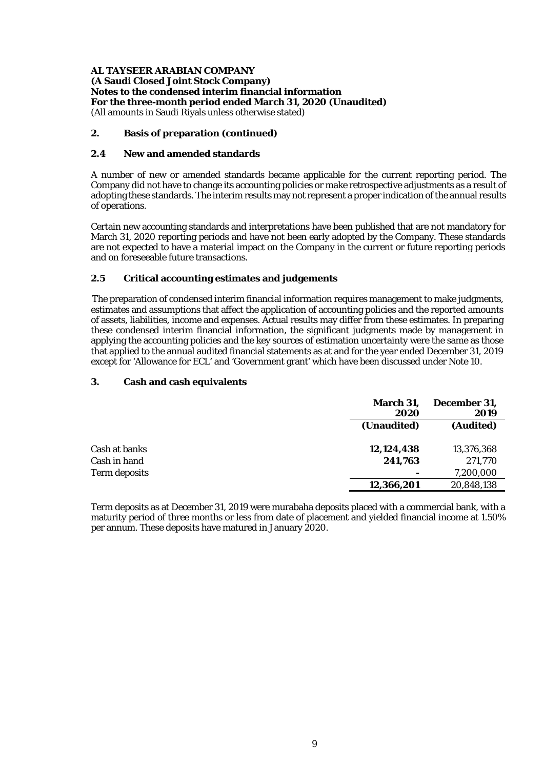## **2. Basis of preparation (continued)**

## **2.4 New and amended standards**

A number of new or amended standards became applicable for the current reporting period. The Company did not have to change its accounting policies or make retrospective adjustments as a result of adopting these standards. The interim results may not represent a proper indication of the annual results of operations.

Certain new accounting standards and interpretations have been published that are not mandatory for March 31, 2020 reporting periods and have not been early adopted by the Company. These standards are not expected to have a material impact on the Company in the current or future reporting periods and on foreseeable future transactions.

## **2.5 Critical accounting estimates and judgements**

The preparation of condensed interim financial information requires management to make judgments, estimates and assumptions that affect the application of accounting policies and the reported amounts of assets, liabilities, income and expenses. Actual results may differ from these estimates. In preparing these condensed interim financial information, the significant judgments made by management in applying the accounting policies and the key sources of estimation uncertainty were the same as those that applied to the annual audited financial statements as at and for the year ended December 31, 2019 except for 'Allowance for ECL' and 'Government grant' which have been discussed under Note 10.

## **3. Cash and cash equivalents**

|               | <b>March 31,</b><br>2020 | December 31,<br>2019 |
|---------------|--------------------------|----------------------|
|               | (Unaudited)              | (Audited)            |
| Cash at banks | 12,124,438               | 13,376,368           |
| Cash in hand  | 241,763                  | 271,770              |
| Term deposits |                          | 7,200,000            |
|               | 12,366,201               | 20,848,138           |

Term deposits as at December 31, 2019 were murabaha deposits placed with a commercial bank, with a maturity period of three months or less from date of placement and yielded financial income at 1.50% per annum. These deposits have matured in January 2020.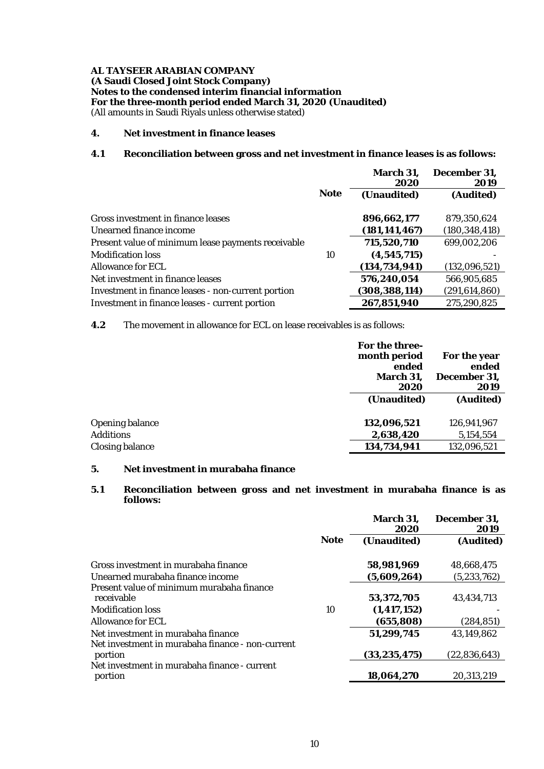#### **4. Net investment in finance leases**

# **4.1 Reconciliation between gross and net investment in finance leases is as follows:**

|                                                    |             | March 31,<br>2020 | December 31,<br>2019 |
|----------------------------------------------------|-------------|-------------------|----------------------|
|                                                    | <b>Note</b> | (Unaudited)       | (Audited)            |
| Gross investment in finance leases                 |             | 896,662,177       | 879.350.624          |
| Unearned finance income                            |             | (181, 141, 467)   | (180, 348, 418)      |
| Present value of minimum lease payments receivable |             | 715,520,710       | 699,002,206          |
| <b>Modification loss</b>                           | 10          | (4, 545, 715)     |                      |
| Allowance for ECL                                  |             | (134, 734, 941)   | (132,096,521)        |
| Net investment in finance leases                   |             | 576,240,054       | 566,905,685          |
| Investment in finance leases - non-current portion |             | (308,388,114)     | (291, 614, 860)      |
| Investment in finance leases - current portion     |             | 267,851,940       | 275,290,825          |

**4.2** The movement in allowance for ECL on lease receivables is as follows:

|                        | <b>For the three-</b><br>month period<br>ended<br><b>March 31,</b><br>2020 | For the year<br>ended<br>December 31,<br>2019 |
|------------------------|----------------------------------------------------------------------------|-----------------------------------------------|
|                        | (Unaudited)                                                                | (Audited)                                     |
| <b>Opening balance</b> | 132,096,521                                                                | 126,941,967                                   |
| <b>Additions</b>       | 2,638,420                                                                  | 5,154,554                                     |
| <b>Closing balance</b> | 134,734,941                                                                | 132,096,521                                   |

# **5. Net investment in murabaha finance**

## **5.1 Reconciliation between gross and net investment in murabaha finance is as follows:**

|                                                                                        | <b>Note</b> | <b>March 31,</b><br>2020 | December 31,<br>2019 |
|----------------------------------------------------------------------------------------|-------------|--------------------------|----------------------|
|                                                                                        |             | (Unaudited)              | (Audited)            |
| Gross investment in murabaha finance                                                   |             | 58,981,969               | 48,668,475           |
| Unearned murabaha finance income                                                       |             | (5,609,264)              | (5, 233, 762)        |
| Present value of minimum murabaha finance<br>receivable                                |             | 53,372,705               | 43, 434, 713         |
| <b>Modification loss</b>                                                               | 10          | (1, 417, 152)            |                      |
| Allowance for ECL                                                                      |             | (655, 808)               | (284, 851)           |
| Net investment in murabaha finance<br>Net investment in murabaha finance - non-current |             | 51,299,745               | 43,149,862           |
| portion                                                                                |             | (33, 235, 475)           | (22.836.643)         |
| Net investment in murabaha finance - current<br>portion                                |             | 18,064,270               | 20,313,219           |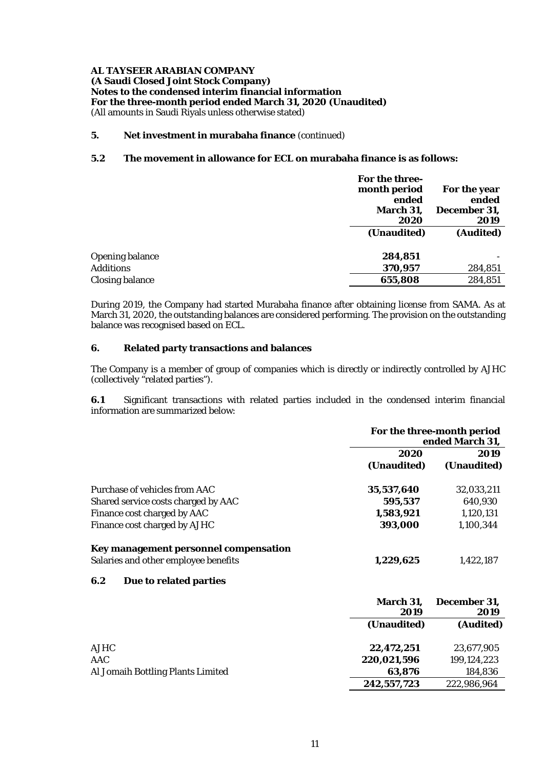## **5. Net investment in murabaha finance** (continued)

## **5.2 The movement in allowance for ECL on murabaha finance is as follows:**

|                        | For the three-<br>month period<br>ended<br>March 31,<br>2020 | For the year<br>ended<br>December 31,<br>2019 |
|------------------------|--------------------------------------------------------------|-----------------------------------------------|
|                        | (Unaudited)                                                  | (Audited)                                     |
| <b>Opening balance</b> | 284,851                                                      |                                               |
| <b>Additions</b>       | 370,957                                                      | 284,851                                       |
| <b>Closing balance</b> | 655,808                                                      | 284,851                                       |

During 2019, the Company had started Murabaha finance after obtaining license from SAMA. As at March 31, 2020, the outstanding balances are considered performing. The provision on the outstanding balance was recognised based on ECL.

## **6. Related party transactions and balances**

The Company is a member of group of companies which is directly or indirectly controlled by AJHC (collectively "related parties").

**6.1** Significant transactions with related parties included in the condensed interim financial information are summarized below:

|                                       | For the three-month period<br>ended March 31, |                     |
|---------------------------------------|-----------------------------------------------|---------------------|
|                                       | 2020<br>(Unaudited)                           | 2019<br>(Unaudited) |
|                                       |                                               |                     |
| Purchase of vehicles from AAC         | 35,537,640                                    | 32,033,211          |
| Shared service costs charged by AAC   | 595,537                                       | 640,930             |
| Finance cost charged by AAC           | 1,583,921                                     | 1,120,131           |
| Finance cost charged by AJHC          | 393,000                                       | 1,100,344           |
| Key management personnel compensation |                                               |                     |
| Salaries and other employee benefits  | 1,229,625                                     | 1.422.187           |

#### **6.2 Due to related parties**

|                                   | <b>March 31,</b><br>2019 | December 31.<br>2019 |
|-----------------------------------|--------------------------|----------------------|
|                                   | (Unaudited)              | (Audited)            |
| <b>AJHC</b>                       | 22,472,251               | 23,677,905           |
| AAC                               | 220,021,596              | 199, 124, 223        |
| Al Jomaih Bottling Plants Limited | 63,876                   | 184,836              |
|                                   | 242,557,723              | 222,986,964          |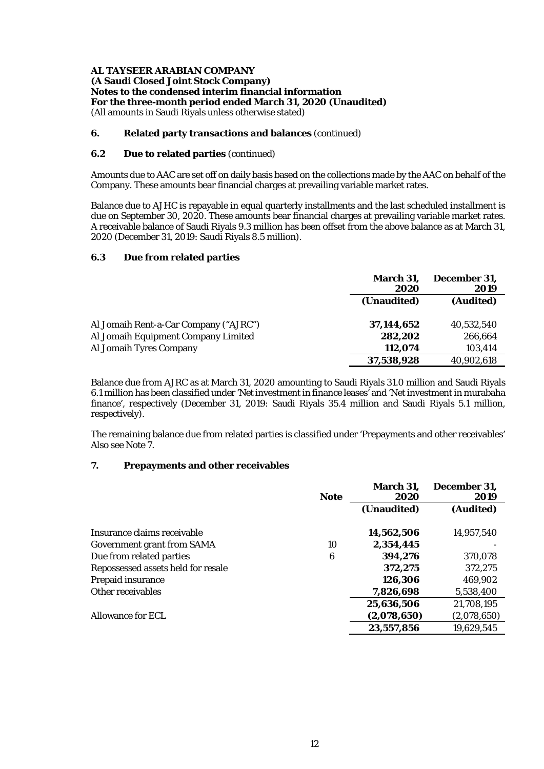## **6. Related party transactions and balances** (continued)

## **6.2 Due to related parties** (continued)

Amounts due to AAC are set off on daily basis based on the collections made by the AAC on behalf of the Company. These amounts bear financial charges at prevailing variable market rates.

Balance due to AJHC is repayable in equal quarterly installments and the last scheduled installment is due on September 30, 2020. These amounts bear financial charges at prevailing variable market rates. A receivable balance of Saudi Riyals 9.3 million has been offset from the above balance as at March 31, 2020 (December 31, 2019: Saudi Riyals 8.5 million).

## **6.3 Due from related parties**

|                                       | March 31,<br>2020 | December 31,<br>2019 |  |
|---------------------------------------|-------------------|----------------------|--|
|                                       | (Unaudited)       | (Audited)            |  |
| Al Jomaih Rent-a-Car Company ("AJRC") | 37,144,652        | 40.532.540           |  |
| Al Jomaih Equipment Company Limited   | 282,202           | 266.664              |  |
| Al Jomaih Tyres Company               | 112.074           | 103,414              |  |
|                                       | 37,538,928        | 40,902,618           |  |

Balance due from AJRC as at March 31, 2020 amounting to Saudi Riyals 31.0 million and Saudi Riyals 6.1 million has been classified under 'Net investment in finance leases' and 'Net investment in murabaha finance', respectively (December 31, 2019: Saudi Riyals 35.4 million and Saudi Riyals 5.1 million, respectively).

The remaining balance due from related parties is classified under 'Prepayments and other receivables' Also see Note 7.

# **7. Prepayments and other receivables**

|                                    | <b>Note</b> | March 31,<br>2020 | December 31,<br>2019 |
|------------------------------------|-------------|-------------------|----------------------|
|                                    |             | (Unaudited)       | (Audited)            |
| Insurance claims receivable        |             | 14,562,506        | 14,957,540           |
| <b>Government grant from SAMA</b>  | 10          | 2,354,445         |                      |
| Due from related parties           | 6           | 394,276           | 370,078              |
| Repossessed assets held for resale |             | 372,275           | 372,275              |
| Prepaid insurance                  |             | 126.306           | 469,902              |
| Other receivables                  |             | 7,826,698         | 5,538,400            |
|                                    |             | 25,636,506        | 21,708,195           |
| Allowance for ECL                  |             | (2,078,650)       | (2,078,650)          |
|                                    |             | 23,557,856        | 19,629,545           |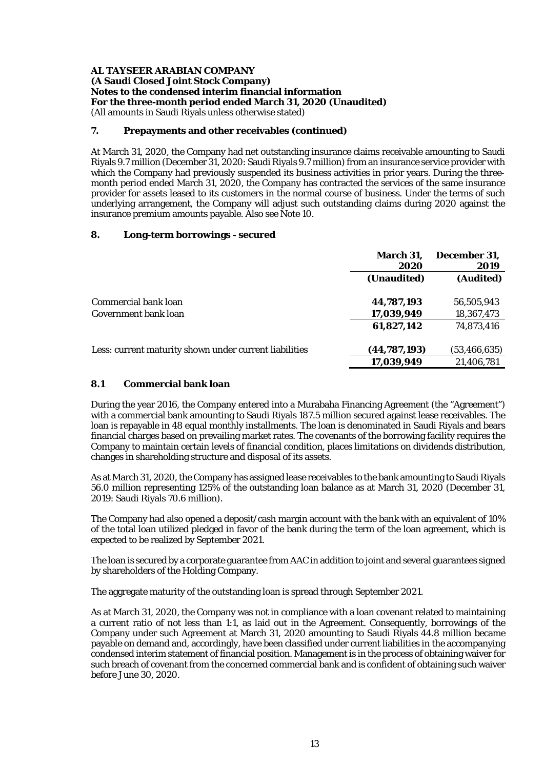## **7. Prepayments and other receivables (continued)**

At March 31, 2020, the Company had net outstanding insurance claims receivable amounting to Saudi Riyals 9.7 million (December 31, 2020: Saudi Riyals 9.7 million) from an insurance service provider with which the Company had previously suspended its business activities in prior years. During the threemonth period ended March 31, 2020, the Company has contracted the services of the same insurance provider for assets leased to its customers in the normal course of business. Under the terms of such underlying arrangement, the Company will adjust such outstanding claims during 2020 against the insurance premium amounts payable. Also see Note 10.

## **8. Long-term borrowings - secured**

|                                                        | March 31,<br>2020 | December 31.<br>2019 |
|--------------------------------------------------------|-------------------|----------------------|
|                                                        | (Unaudited)       | (Audited)            |
| Commercial bank loan                                   | 44,787,193        | 56,505,943           |
| Government bank loan                                   | 17,039,949        | 18,367,473           |
|                                                        | 61,827,142        | 74,873,416           |
| Less: current maturity shown under current liabilities | (44,787,193)      | (53, 466, 635)       |
|                                                        | 17,039,949        | 21,406,781           |

## **8.1 Commercial bank loan**

During the year 2016, the Company entered into a Murabaha Financing Agreement (the "Agreement") with a commercial bank amounting to Saudi Riyals 187.5 million secured against lease receivables. The loan is repayable in 48 equal monthly installments. The loan is denominated in Saudi Riyals and bears financial charges based on prevailing market rates. The covenants of the borrowing facility requires the Company to maintain certain levels of financial condition, places limitations on dividends distribution, changes in shareholding structure and disposal of its assets.

As at March 31, 2020, the Company has assigned lease receivables to the bank amounting to Saudi Riyals 56.0 million representing 125% of the outstanding loan balance as at March 31, 2020 (December 31, 2019: Saudi Riyals 70.6 million).

The Company had also opened a deposit/cash margin account with the bank with an equivalent of 10% of the total loan utilized pledged in favor of the bank during the term of the loan agreement, which is expected to be realized by September 2021.

The loan is secured by a corporate guarantee from AAC in addition to joint and several guarantees signed by shareholders of the Holding Company.

The aggregate maturity of the outstanding loan is spread through September 2021.

As at March 31, 2020, the Company was not in compliance with a loan covenant related to maintaining a current ratio of not less than 1:1, as laid out in the Agreement. Consequently, borrowings of the Company under such Agreement at March 31, 2020 amounting to Saudi Riyals 44.8 million became payable on demand and, accordingly, have been classified under current liabilities in the accompanying condensed interim statement of financial position. Management is in the process of obtaining waiver for such breach of covenant from the concerned commercial bank and is confident of obtaining such waiver before June 30, 2020.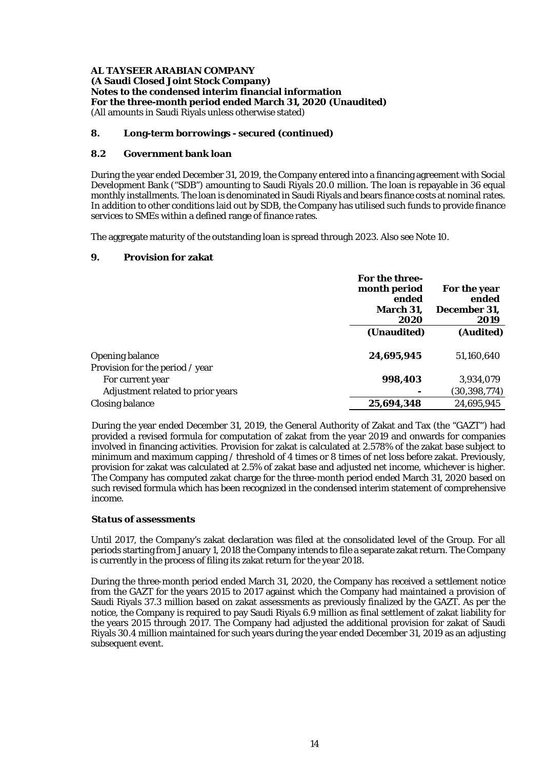## **8. Long-term borrowings - secured (continued)**

## **8.2 Government bank loan**

During the year ended December 31, 2019, the Company entered into a financing agreement with Social Development Bank ("SDB") amounting to Saudi Riyals 20.0 million. The loan is repayable in 36 equal monthly installments. The loan is denominated in Saudi Riyals and bears finance costs at nominal rates. In addition to other conditions laid out by SDB, the Company has utilised such funds to provide finance services to SMEs within a defined range of finance rates.

The aggregate maturity of the outstanding loan is spread through 2023. Also see Note 10.

## **9. Provision for zakat**

|                                   | For the three-<br>month period<br>ended<br>March 31,<br>2020 | For the year<br>ended<br>December 31,<br>2019 |  |
|-----------------------------------|--------------------------------------------------------------|-----------------------------------------------|--|
|                                   | (Unaudited)                                                  | (Audited)                                     |  |
| <b>Opening balance</b>            | 24,695,945                                                   | 51,160,640                                    |  |
| Provision for the period / year   |                                                              |                                               |  |
| For current year                  | 998,403                                                      | 3,934,079                                     |  |
| Adjustment related to prior years |                                                              | (30, 398, 774)                                |  |
| <b>Closing balance</b>            | 25.694.348                                                   | 24,695,945                                    |  |

During the year ended December 31, 2019, the General Authority of Zakat and Tax (the "GAZT") had provided a revised formula for computation of zakat from the year 2019 and onwards for companies involved in financing activities. Provision for zakat is calculated at 2.578% of the zakat base subject to minimum and maximum capping / threshold of 4 times or 8 times of net loss before zakat. Previously, provision for zakat was calculated at 2.5% of zakat base and adjusted net income, whichever is higher. The Company has computed zakat charge for the three-month period ended March 31, 2020 based on such revised formula which has been recognized in the condensed interim statement of comprehensive income.

# *Status of assessments*

Until 2017, the Company's zakat declaration was filed at the consolidated level of the Group. For all periods starting from January 1, 2018 the Company intends to file a separate zakat return. The Company is currently in the process of filing its zakat return for the year 2018.

During the three-month period ended March 31, 2020, the Company has received a settlement notice from the GAZT for the years 2015 to 2017 against which the Company had maintained a provision of Saudi Riyals 37.3 million based on zakat assessments as previously finalized by the GAZT. As per the notice, the Company is required to pay Saudi Riyals 6.9 million as final settlement of zakat liability for the years 2015 through 2017. The Company had adjusted the additional provision for zakat of Saudi Riyals 30.4 million maintained for such years during the year ended December 31, 2019 as an adjusting subsequent event.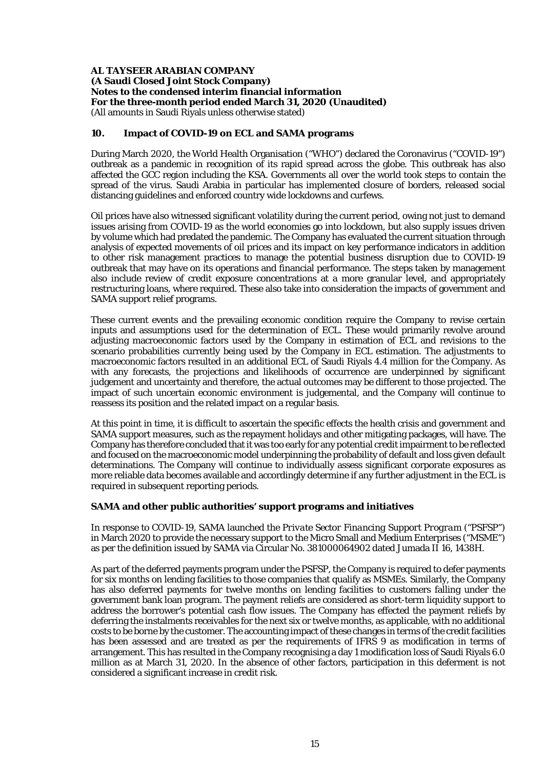#### **10. Impact of COVID-19 on ECL and SAMA programs**

During March 2020, the World Health Organisation ("WHO") declared the Coronavirus ("COVID-19") outbreak as a pandemic in recognition of its rapid spread across the globe. This outbreak has also affected the GCC region including the KSA. Governments all over the world took steps to contain the spread of the virus. Saudi Arabia in particular has implemented closure of borders, released social distancing guidelines and enforced country wide lockdowns and curfews.

Oil prices have also witnessed significant volatility during the current period, owing not just to demand issues arising from COVID-19 as the world economies go into lockdown, but also supply issues driven by volume which had predated the pandemic. The Company has evaluated the current situation through analysis of expected movements of oil prices and its impact on key performance indicators in addition to other risk management practices to manage the potential business disruption due to COVID-19 outbreak that may have on its operations and financial performance. The steps taken by management also include review of credit exposure concentrations at a more granular level, and appropriately restructuring loans, where required. These also take into consideration the impacts of government and SAMA support relief programs.

These current events and the prevailing economic condition require the Company to revise certain inputs and assumptions used for the determination of ECL. These would primarily revolve around adjusting macroeconomic factors used by the Company in estimation of ECL and revisions to the scenario probabilities currently being used by the Company in ECL estimation. The adjustments to macroeconomic factors resulted in an additional ECL of Saudi Riyals 4.4 million for the Company. As with any forecasts, the projections and likelihoods of occurrence are underpinned by significant judgement and uncertainty and therefore, the actual outcomes may be different to those projected. The impact of such uncertain economic environment is judgemental, and the Company will continue to reassess its position and the related impact on a regular basis.

At this point in time, it is difficult to ascertain the specific effects the health crisis and government and SAMA support measures, such as the repayment holidays and other mitigating packages, will have. The Company has therefore concluded that it was too early for any potential credit impairment to be reflected and focused on the macroeconomic model underpinning the probability of default and loss given default determinations. The Company will continue to individually assess significant corporate exposures as more reliable data becomes available and accordingly determine if any further adjustment in the ECL is required in subsequent reporting periods.

# **SAMA and other public authorities' support programs and initiatives**

In response to COVID-19, SAMA launched the *Private Sector Financing Support Program* ("PSFSP") in March 2020 to provide the necessary support to the Micro Small and Medium Enterprises ("MSME") as per the definition issued by SAMA via Circular No. 381000064902 dated Jumada II 16, 1438H.

As part of the deferred payments program under the PSFSP, the Company is required to defer payments for six months on lending facilities to those companies that qualify as MSMEs. Similarly, the Company has also deferred payments for twelve months on lending facilities to customers falling under the government bank loan program. The payment reliefs are considered as short-term liquidity support to address the borrower's potential cash flow issues. The Company has effected the payment reliefs by deferring the instalments receivables for the next six or twelve months, as applicable, with no additional costs to be borne by the customer. The accounting impact of these changes in terms of the credit facilities has been assessed and are treated as per the requirements of IFRS 9 as modification in terms of arrangement. This has resulted in the Company recognising a day 1 modification loss of Saudi Riyals 6.0 million as at March 31, 2020. In the absence of other factors, participation in this deferment is not considered a significant increase in credit risk.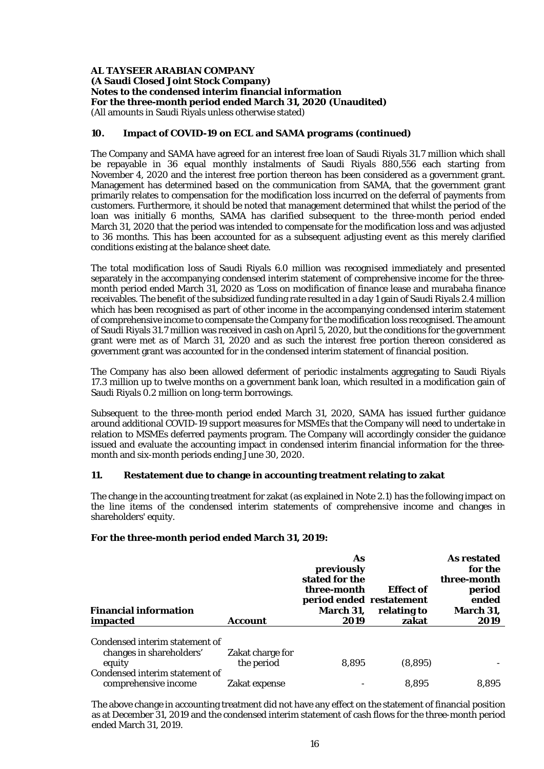## **10. Impact of COVID-19 on ECL and SAMA programs (continued)**

The Company and SAMA have agreed for an interest free loan of Saudi Riyals 31.7 million which shall be repayable in 36 equal monthly instalments of Saudi Riyals 880,556 each starting from November 4, 2020 and the interest free portion thereon has been considered as a government grant. Management has determined based on the communication from SAMA, that the government grant primarily relates to compensation for the modification loss incurred on the deferral of payments from customers. Furthermore, it should be noted that management determined that whilst the period of the loan was initially 6 months, SAMA has clarified subsequent to the three-month period ended March 31, 2020 that the period was intended to compensate for the modification loss and was adjusted to 36 months. This has been accounted for as a subsequent adjusting event as this merely clarified conditions existing at the balance sheet date.

The total modification loss of Saudi Riyals 6.0 million was recognised immediately and presented separately in the accompanying condensed interim statement of comprehensive income for the threemonth period ended March 31, 2020 as 'Loss on modification of finance lease and murabaha finance receivables. The benefit of the subsidized funding rate resulted in a day 1 gain of Saudi Riyals 2.4 million which has been recognised as part of other income in the accompanying condensed interim statement of comprehensive income to compensate the Company for the modification loss recognised. The amount of Saudi Riyals 31.7 million was received in cash on April 5, 2020, but the conditions for the government grant were met as of March 31, 2020 and as such the interest free portion thereon considered as government grant was accounted for in the condensed interim statement of financial position.

The Company has also been allowed deferment of periodic instalments aggregating to Saudi Riyals 17.3 million up to twelve months on a government bank loan, which resulted in a modification gain of Saudi Riyals 0.2 million on long-term borrowings.

Subsequent to the three-month period ended March 31, 2020, SAMA has issued further guidance around additional COVID-19 support measures for MSMEs that the Company will need to undertake in relation to MSMEs deferred payments program. The Company will accordingly consider the guidance issued and evaluate the accounting impact in condensed interim financial information for the threemonth and six-month periods ending June 30, 2020.

# **11. Restatement due to change in accounting treatment relating to zakat**

The change in the accounting treatment for zakat (as explained in Note 2.1) has the following impact on the line items of the condensed interim statements of comprehensive income and changes in shareholders' equity.

| <b>Financial information</b><br>impacted                             | Account                        | As<br>previously<br>stated for the<br>three-month<br>period ended restatement<br><b>March 31,</b><br>2019 | <b>Effect of</b><br>relating to<br>zakat | As restated<br>for the<br>three-month<br>period<br>ended<br>March 31,<br>2019 |
|----------------------------------------------------------------------|--------------------------------|-----------------------------------------------------------------------------------------------------------|------------------------------------------|-------------------------------------------------------------------------------|
| Condensed interim statement of<br>changes in shareholders'<br>equity | Zakat charge for<br>the period | 8,895                                                                                                     | (8,895)                                  |                                                                               |
| Condensed interim statement of<br>comprehensive income               | Zakat expense                  |                                                                                                           | 8.895                                    | 8,895                                                                         |

#### **For the three-month period ended March 31, 2019:**

The above change in accounting treatment did not have any effect on the statement of financial position as at December 31, 2019 and the condensed interim statement of cash flows for the three-month period ended March 31, 2019.